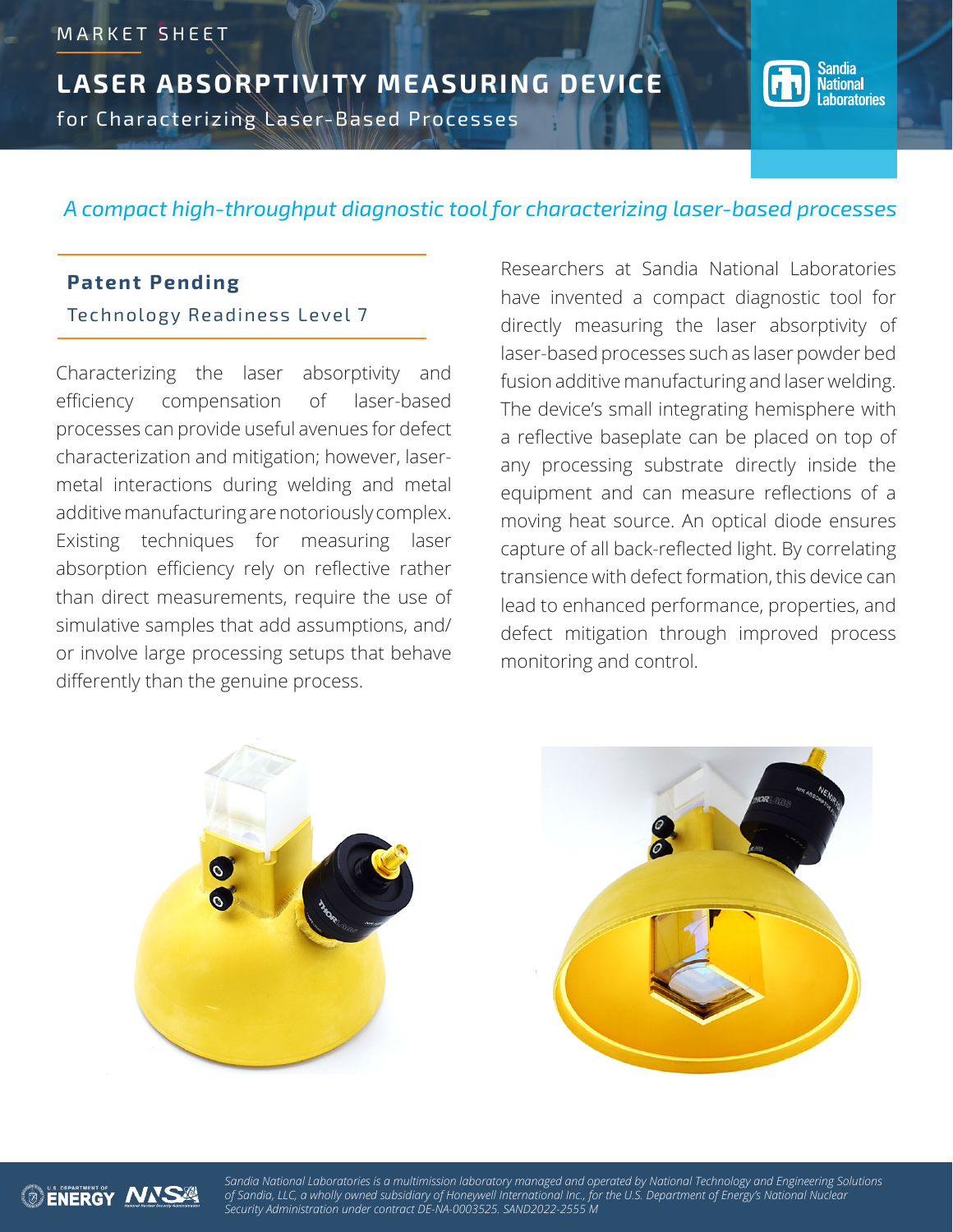**LASER ABSORPTIVITY MEASURING DEVICE** for Characterizing Laser-Based Processes



# *A compact high-throughput diagnostic tool for characterizing laser-based processes*

# **Patent Pending**

Technology Readiness Level 7

Characterizing the laser absorptivity and efficiency compensation of laser-based processes can provide useful avenues for defect characterization and mitigation; however, lasermetal interactions during welding and metal additive manufacturing are notoriously complex. Existing techniques for measuring laser absorption efficiency rely on reflective rather than direct measurements, require the use of simulative samples that add assumptions, and/ or involve large processing setups that behave differently than the genuine process.

Researchers at Sandia National Laboratories have invented a compact diagnostic tool for directly measuring the laser absorptivity of laser-based processes such as laser powder bed fusion additive manufacturing and laser welding. The device's small integrating hemisphere with a reflective baseplate can be placed on top of any processing substrate directly inside the equipment and can measure reflections of a moving heat source. An optical diode ensures capture of all back-reflected light. By correlating transience with defect formation, this device can lead to enhanced performance, properties, and defect mitigation through improved process monitoring and control.





*Sandia National Laboratories is a multimission laboratory managed and operated by National Technology and Engineering Solutions of Sandia, LLC, a wholly owned subsidiary of Honeywell International Inc., for the U.S. Department of Energy's National Nuclear Security Administration under contract DE-NA-0003525. SAND2022-2555 M*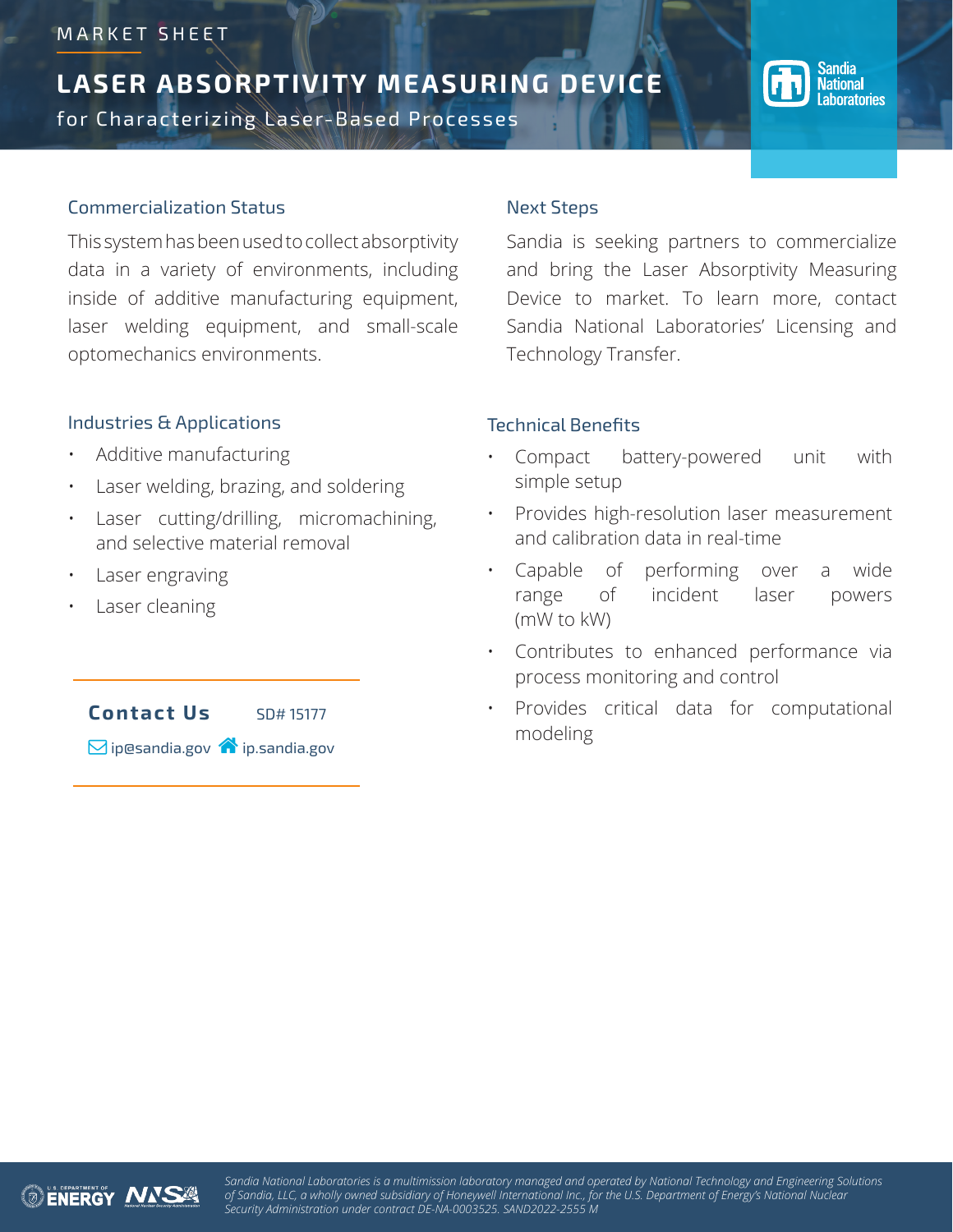# MARKET SHEET

# **LASER ABSORPTIVITY MEASURING DEVICE**

for Characterizing Laser-Based Processes



#### Commercialization Status

This system has been used to collect absorptivity data in a variety of environments, including inside of additive manufacturing equipment, laser welding equipment, and small-scale optomechanics environments.

#### Industries & Applications

- Additive manufacturing
- Laser welding, brazing, and soldering
- Laser cutting/drilling, micromachining, and selective material removal
- Laser engraving
- Laser cleaning



#### Next Steps

Sandia is seeking partners to commercialize and bring the Laser Absorptivity Measuring Device to market. To learn more, contact Sandia National Laboratories' Licensing and Technology Transfer.

## Technical Benefits

- Compact battery-powered unit with simple setup
- Provides high-resolution laser measurement and calibration data in real-time
- Capable of performing over a wide range of incident laser powers (mW to kW)
- Contributes to enhanced performance via process monitoring and control
- Provides critical data for computational modeling